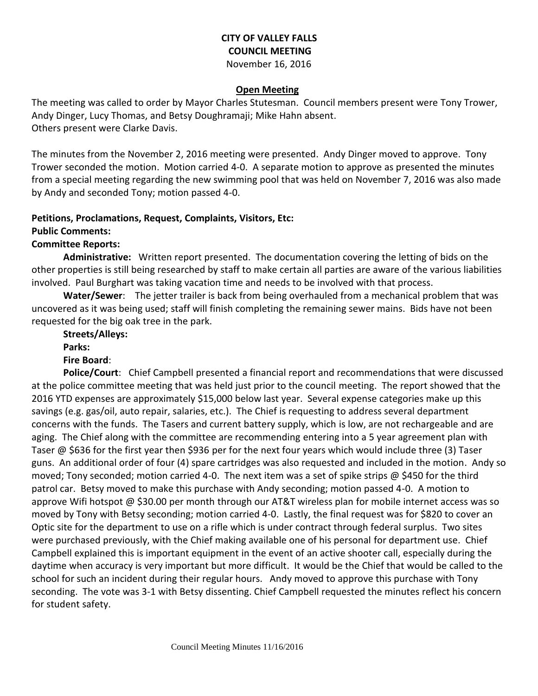### **CITY OF VALLEY FALLS COUNCIL MEETING** November 16, 2016

#### **Open Meeting**

The meeting was called to order by Mayor Charles Stutesman. Council members present were Tony Trower, Andy Dinger, Lucy Thomas, and Betsy Doughramaji; Mike Hahn absent. Others present were Clarke Davis.

The minutes from the November 2, 2016 meeting were presented. Andy Dinger moved to approve. Tony Trower seconded the motion. Motion carried 4-0. A separate motion to approve as presented the minutes from a special meeting regarding the new swimming pool that was held on November 7, 2016 was also made by Andy and seconded Tony; motion passed 4-0.

# **Petitions, Proclamations, Request, Complaints, Visitors, Etc:**

#### **Public Comments:**

#### **Committee Reports:**

**Administrative:** Written report presented. The documentation covering the letting of bids on the other properties is still being researched by staff to make certain all parties are aware of the various liabilities involved. Paul Burghart was taking vacation time and needs to be involved with that process.

**Water/Sewer**: The jetter trailer is back from being overhauled from a mechanical problem that was uncovered as it was being used; staff will finish completing the remaining sewer mains. Bids have not been requested for the big oak tree in the park.

**Streets/Alleys: Parks:** 

#### **Fire Board**:

**Police/Court**: Chief Campbell presented a financial report and recommendations that were discussed at the police committee meeting that was held just prior to the council meeting. The report showed that the 2016 YTD expenses are approximately \$15,000 below last year. Several expense categories make up this savings (e.g. gas/oil, auto repair, salaries, etc.). The Chief is requesting to address several department concerns with the funds. The Tasers and current battery supply, which is low, are not rechargeable and are aging. The Chief along with the committee are recommending entering into a 5 year agreement plan with Taser @ \$636 for the first year then \$936 per for the next four years which would include three (3) Taser guns. An additional order of four (4) spare cartridges was also requested and included in the motion. Andy so moved; Tony seconded; motion carried 4-0. The next item was a set of spike strips @ \$450 for the third patrol car. Betsy moved to make this purchase with Andy seconding; motion passed 4-0. A motion to approve Wifi hotspot @ \$30.00 per month through our AT&T wireless plan for mobile internet access was so moved by Tony with Betsy seconding; motion carried 4-0. Lastly, the final request was for \$820 to cover an Optic site for the department to use on a rifle which is under contract through federal surplus. Two sites were purchased previously, with the Chief making available one of his personal for department use. Chief Campbell explained this is important equipment in the event of an active shooter call, especially during the daytime when accuracy is very important but more difficult. It would be the Chief that would be called to the school for such an incident during their regular hours. Andy moved to approve this purchase with Tony seconding. The vote was 3-1 with Betsy dissenting. Chief Campbell requested the minutes reflect his concern for student safety.